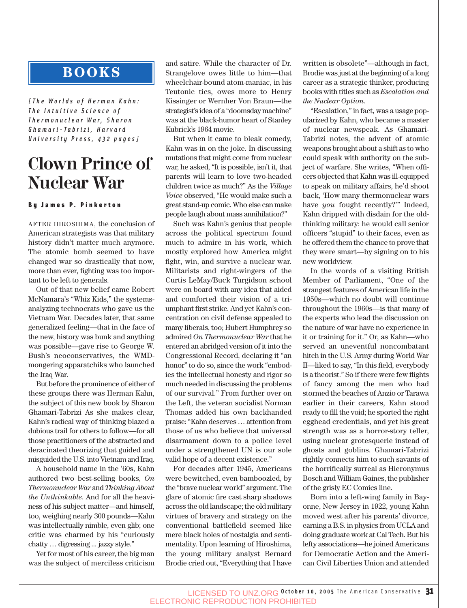## **BOOKS**

*[The Worlds of Herman Kahn: The Intuitive Science of Thermonuclear War, Sharon Ghamari-Tabrizi, Harvard University Press, 432 pages]*

## **Clown Prince of Nuclear War**

#### By James P. Pinkerton

AFTER HIROSHIMA, the conclusion of American strategists was that military history didn't matter much anymore. The atomic bomb seemed to have changed war so drastically that now, more than ever, fighting was too important to be left to generals.

Out of that new belief came Robert McNamara's "Whiz Kids," the systemsanalyzing technocrats who gave us the Vietnam War. Decades later, that same generalized feeling—that in the face of the new, history was bunk and anything was possible—gave rise to George W. Bush's neoconservatives, the WMDmongering apparatchiks who launched the Iraq War.

But before the prominence of either of these groups there was Herman Kahn, the subject of this new book by Sharon Ghamari-Tabrizi As she makes clear, Kahn's radical way of thinking blazed a dubious trail for others to follow—for all those practitioners of the abstracted and deracinated theorizing that guided and misguided the U.S. into Vietnam and Iraq.

A household name in the '60s, Kahn authored two best-selling books, *On Thermonuclear War* and *Thinking About the Unthinkable*. And for all the heaviness of his subject matter—and himself, too, weighing nearly 300 pounds—Kahn was intellectually nimble, even glib; one critic was charmed by his "curiously chatty … digressing ... jazzy style."

Yet for most of his career, the big man was the subject of merciless criticism and satire. While the character of Dr. Strangelove owes little to him—that wheelchair-bound atom-maniac, in his Teutonic tics, owes more to Henry Kissinger or Wernher Von Braun—the strategist's idea of a "doomsday machine" was at the black-humor heart of Stanley Kubrick's 1964 movie.

But when it came to bleak comedy, Kahn was in on the joke. In discussing mutations that might come from nuclear war, he asked, "It is possible, isn't it, that parents will learn to love two-headed children twice as much?" As the *Village Voice* observed, "He would make such a great stand-up comic. Who else can make people laugh about mass annihilation?"

Such was Kahn's genius that people across the political spectrum found much to admire in his work, which mostly explored how America might fight, win, and survive a nuclear war. Militarists and right-wingers of the Curtis LeMay/Buck Turgidson school were on board with any idea that aided and comforted their vision of a triumphant first strike. And yet Kahn's concentration on civil defense appealed to many liberals, too; Hubert Humphrey so admired *On Thermonuclear War* that he entered an abridged version of it into the Congressional Record, declaring it "an honor" to do so, since the work "embodies the intellectual honesty and rigor so much needed in discussing the problems of our survival." From further over on the Left, the veteran socialist Norman Thomas added his own backhanded praise: "Kahn deserves … attention from those of us who believe that universal disarmament down to a police level under a strengthened UN is our sole valid hope of a decent existence."

For decades after 1945, Americans were bewitched, even bamboozled, by the "brave nuclear world" argument. The glare of atomic fire cast sharp shadows across the old landscape; the old military virtues of bravery and strategy on the conventional battlefield seemed like mere black holes of nostalgia and sentimentality. Upon learning of Hiroshima, the young military analyst Bernard Brodie cried out, "Everything that I have written is obsolete"—although in fact, Brodie was just at the beginning of a long career as a strategic thinker, producing books with titles such as *Escalation and the Nuclear Option*.

"Escalation," in fact, was a usage popularized by Kahn, who became a master of nuclear newspeak. As Ghamari-Tabrizi notes, the advent of atomic weapons brought about a shift as to who could speak with authority on the subject of warfare. She writes, "When officers objected that Kahn was ill-equipped to speak on military affairs, he'd shoot back, 'How many thermonuclear wars have *you* fought recently?'" Indeed, Kahn dripped with disdain for the oldthinking military: he would call senior officers "stupid" to their faces, even as he offered them the chance to prove that they were smart—by signing on to his new worldview.

In the words of a visiting British Member of Parliament, "One of the strangest features of American life in the 1950s—which no doubt will continue throughout the 1960s—is that many of the experts who lead the discussion on the nature of war have no experience in it or training for it." Or, as Kahn—who served an uneventful noncombatant hitch in the U.S. Army during World War II—liked to say, "In this field, everybody is a theorist." So if there were few flights of fancy among the men who had stormed the beaches of Anzio or Tarawa earlier in their careers, Kahn stood ready to fill the void; he sported the right egghead credentials, and yet his great strength was as a horror-story teller, using nuclear grotesquerie instead of ghosts and goblins. Ghamari-Tabrizi rightly connects him to such savants of the horrifically surreal as Hieronymus Bosch and William Gaines, the publisher of the grisly EC Comics line.

Born into a left-wing family in Bayonne, New Jersey in 1922, young Kahn moved west after his parents' divorce, earning a B.S. in physics from UCLA and doing graduate work at Cal Tech. But his lefty associations—he joined Americans for Democratic Action and the American Civil Liberties Union and attended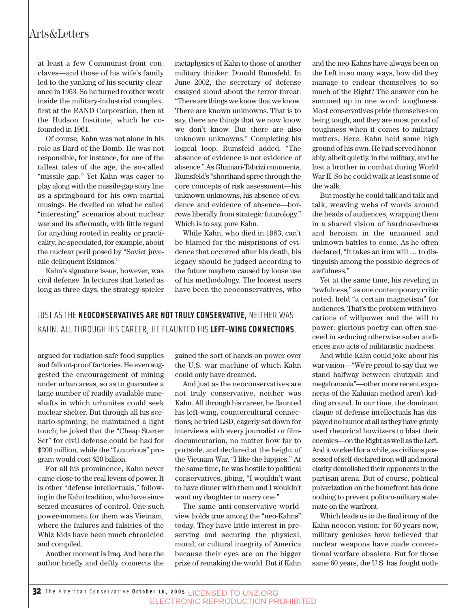### Arts&Letters

at least a few Communist-front conclaves—and those of his wife's family led to the yanking of his security clearance in 1953. So he turned to other work inside the military-industrial complex, first at the RAND Corporation, then at the Hudson Institute, which he cofounded in 1961.

Of course, Kahn was not alone in his role as Bard of the Bomb. He was not responsible, for instance, for one of the tallest tales of the age, the so-called "missile gap." Yet Kahn was eager to play along with the missile-gap story line as a springboard for his own martial musings. He dwelled on what he called "interesting" scenarios about nuclear war and its aftermath, with little regard for anything rooted in reality or practicality; he speculated, for example, about the nuclear peril posed by "Soviet juvenile delinquent Eskimos."

Kahn's signature issue, however, was civil defense. In lectures that lasted as long as three days, the strategy-spieler

metaphysics of Kahn to those of another military thinker: Donald Rumsfeld. In June 2002, the secretary of defense essayed aloud about the terror threat: "There are things we know that we know. There are known unknowns. That is to say, there are things that we now know we don't know. But there are also unknown unknowns." Completing his logical loop, Rumsfeld added, "The absence of evidence is not evidence of absence." As Ghamari-Tabrizi comments, Rumsfeld's "shorthand spree through the core concepts of risk assessment—his unknown unknowns, his absence of evidence and evidence of absence—borrows liberally from strategic futurology." Which is to say, pure Kahn.

While Kahn, who died in 1983, can't be blamed for the misprisions of evidence that occurred after his death, his legacy should be judged according to the future mayhem caused by loose use of his methodology. The loosest users have been the neoconservatives, who

### JUST AS THE **NEOCONSERVATIVES ARE NOT TRULY CONSERVATIVE**, NEITHER WAS KAHN. ALL THROUGH HIS CAREER, HE FLAUNTED HIS **LEFT-WING CONNECTIONS**.

argued for radiation-safe food supplies and fallout-proof factories. He even suggested the encouragement of mining under urban areas, so as to guarantee a large number of readily available mineshafts in which urbanites could seek nuclear shelter. But through all his scenario-spinning, he maintained a light touch; he joked that the "Cheap Starter Set" for civil defense could be had for \$200 million, while the "Luxurious" program would cost \$20 billion.

For all his prominence, Kahn never came close to the real levers of power. It is other "defense intellectuals," following in the Kahn tradition, who have since seized measures of control. One such power-moment for them was Vietnam, where the failures and falsities of the Whiz Kids have been much chronicled and compiled.

Another moment is Iraq. And here the author briefly and deftly connects the

gained the sort of hands-on power over the U.S. war machine of which Kahn could only have dreamed.

And just as the neoconservatives are not truly conservative, neither was Kahn. All through his career, he flaunted his left-wing, countercultural connections; he tried LSD, eagerly sat down for interviews with every journalist or filmdocumentarian, no matter how far to portside, and declared at the height of the Vietnam War, "I like the hippies." At the same time, he was hostile to political conservatives, jibing, "I wouldn't want to have dinner with them and I wouldn't want my daughter to marry one."

The same anti-conservative worldview holds true among the "neo-Kahns" today. They have little interest in preserving and securing the physical, moral, or cultural integrity of America because their eyes are on the bigger prize of remaking the world. But if Kahn and the neo-Kahns have always been on the Left in so many ways, how did they manage to endear themselves to so much of the Right? The answer can be summed up in one word: toughness. Most conservatives pride themselves on being tough, and they are most proud of toughness when it comes to military matters. Here, Kahn held some high ground of his own. He had served honorably, albeit quietly, in the military, and he lost a brother in combat during World War II. So he could walk at least some of the walk.

But mostly he could talk and talk and talk, weaving webs of words around the heads of audiences, wrapping them in a shared vision of hardnosedness and heroism in the unnamed and unknown battles to come. As he often declared, "It takes an iron will … to distinguish among the possible degrees of awfulness."

Yet at the same time, his reveling in "awfulness," as one contemporary critic noted, held "a certain magnetism" for audiences. That's the problem with invocations of willpower and the will to power: glorious poetry can often succeed in seducing otherwise sober audiences into acts of militaristic madness.

And while Kahn could joke about his war-vision—"We're proud to say that we stand halfway between chutzpah and megalomania"—other more recent exponents of the Kahnian method aren't kidding around. In our time, the dominant claque of defense intellectuals has displayed no humor at all as they have grimly used rhetorical howitzers to blast their enemies—on the Right as well as the Left. And it worked for a while, as civilians possessed of self-declared iron will and moral clarity demolished their opponents in the partisan arena. But of course, political pulverization on the homefront has done nothing to prevent politico-military stalemate on the warfront.

Which leads us to the final irony of the Kahn-neocon vision: for 60 years now, military geniuses have believed that nuclear weapons have made conventional warfare obsolete. But for those same 60 years, the U.S. has fought noth